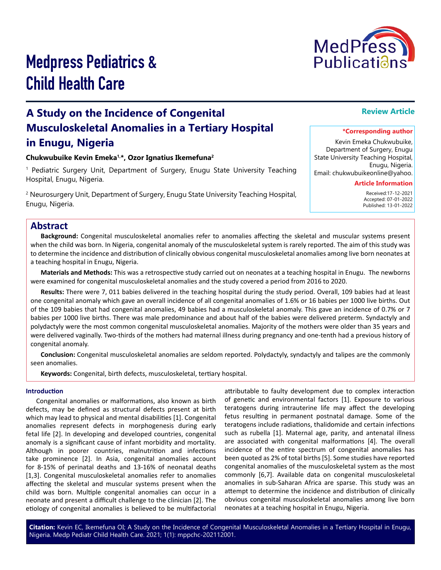

# Medpress Pediatrics & Child Health Care

# **A Study on the Incidence of Congenital Musculoskeletal Anomalies in a Tertiary Hospital in Enugu, Nigeria**

#### **Chukwubuike Kevin Emeka1,\*, Ozor Ignatius Ikemefuna2**

1 Pediatric Surgery Unit, Department of Surgery, Enugu State University Teaching Hospital, Enugu, Nigeria.

2 Neurosurgery Unit, Department of Surgery, Enugu State University Teaching Hospital, Enugu, Nigeria.

# **Review Article**

#### **\*Corresponding author**

Kevin Emeka Chukwubuike, Department of Surgery, Enugu State University Teaching Hospital, Enugu, Nigeria. Email: chukwubuikeonline@yahoo.

# **Article Information**

 Received:17-12-2021 Accepted: 07-01-2022 Published: 13-01-2022

# **Abstract**

**Background:** Congenital musculoskeletal anomalies refer to anomalies affecting the skeletal and muscular systems present when the child was born. In Nigeria, congenital anomaly of the musculoskeletal system is rarely reported. The aim of this study was to determine the incidence and distribution of clinically obvious congenital musculoskeletal anomalies among live born neonates at a teaching hospital in Enugu, Nigeria.

**Materials and Methods:** This was a retrospective study carried out on neonates at a teaching hospital in Enugu. The newborns were examined for congenital musculoskeletal anomalies and the study covered a period from 2016 to 2020.

**Results:** There were 7, 011 babies delivered in the teaching hospital during the study period. Overall, 109 babies had at least one congenital anomaly which gave an overall incidence of all congenital anomalies of 1.6% or 16 babies per 1000 live births. Out of the 109 babies that had congenital anomalies, 49 babies had a musculoskeletal anomaly. This gave an incidence of 0.7% or 7 babies per 1000 live births. There was male predominance and about half of the babies were delivered preterm. Syndactyly and polydactyly were the most common congenital musculoskeletal anomalies. Majority of the mothers were older than 35 years and were delivered vaginally. Two-thirds of the mothers had maternal illness during pregnancy and one-tenth had a previous history of congenital anomaly.

**Conclusion:** Congenital musculoskeletal anomalies are seldom reported. Polydactyly, syndactyly and talipes are the commonly seen anomalies.

**Keywords:** Congenital, birth defects, musculoskeletal, tertiary hospital.

#### **Introduction**

Congenital anomalies or malformations, also known as birth defects, may be defined as structural defects present at birth which may lead to physical and mental disabilities [1]. Congenital anomalies represent defects in morphogenesis during early fetal life [2]. In developing and developed countries, congenital anomaly is a significant cause of infant morbidity and mortality. Although in poorer countries, malnutrition and infections take prominence [2]. In Asia, congenital anomalies account for 8-15% of perinatal deaths and 13-16% of neonatal deaths [1,3]. Congenital musculoskeletal anomalies refer to anomalies affecting the skeletal and muscular systems present when the child was born. Multiple congenital anomalies can occur in a neonate and present a difficult challenge to the clinician [2]. The etiology of congenital anomalies is believed to be multifactorial

attributable to faulty development due to complex interaction of genetic and environmental factors [1]. Exposure to various teratogens during intrauterine life may affect the developing fetus resulting in permanent postnatal damage. Some of the teratogens include radiations, thalidomide and certain infections such as rubella [1]. Maternal age, parity, and antenatal illness are associated with congenital malformations [4]. The overall incidence of the entire spectrum of congenital anomalies has been quoted as 2% of total births [5]. Some studies have reported congenital anomalies of the musculoskeletal system as the most commonly [6,7]. Available data on congenital musculoskeletal anomalies in sub-Saharan Africa are sparse. This study was an attempt to determine the incidence and distribution of clinically obvious congenital musculoskeletal anomalies among live born neonates at a teaching hospital in Enugu, Nigeria.

**Citation:** Kevin EC, Ikemefuna OI; A Study on the Incidence of Congenital Musculoskeletal Anomalies in a Tertiary Hospital in Enugu, Nigeria. Medp Pediatr Child Health Care. 2021; 1(1): mppchc-202112001.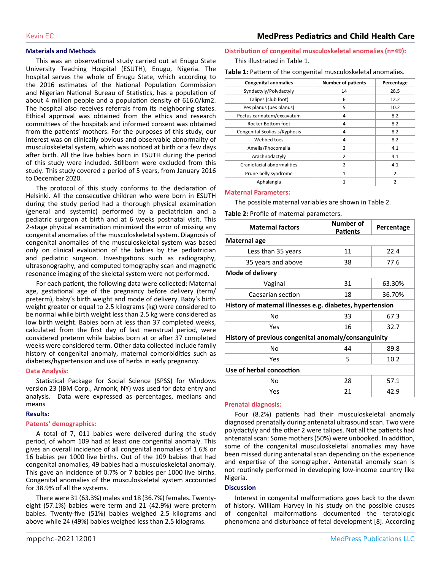#### **Materials and Methods**

This was an observational study carried out at Enugu State University Teaching Hospital (ESUTH), Enugu, Nigeria. The hospital serves the whole of Enugu State, which according to the 2016 estimates of the National Population Commission and Nigerian National Bureau of Statistics, has a population of about 4 million people and a population density of 616.0/km2. The hospital also receives referrals from its neighboring states. Ethical approval was obtained from the ethics and research committees of the hospitals and informed consent was obtained from the patients' mothers. For the purposes of this study, our interest was on clinically obvious and observable abnormality of musculoskeletal system, which was noticed at birth or a few days after birth. All the live babies born in ESUTH during the period of this study were included. Stillborn were excluded from this study. This study covered a period of 5 years, from January 2016 to December 2020.

The protocol of this study conforms to the declaration of Helsinki. All the consecutive children who were born in ESUTH during the study period had a thorough physical examination (general and systemic) performed by a pediatrician and a pediatric surgeon at birth and at 6 weeks postnatal visit. This 2-stage physical examination minimized the error of missing any congenital anomalies of the musculoskeletal system. Diagnosis of congenital anomalies of the musculoskeletal system was based only on clinical evaluation of the babies by the pediatrician and pediatric surgeon. Investigations such as radiography, ultrasonography, and computed tomography scan and magnetic resonance imaging of the skeletal system were not performed.

For each patient, the following data were collected: Maternal age, gestational age of the pregnancy before delivery (term/ preterm), baby's birth weight and mode of delivery. Baby's birth weight greater or equal to 2.5 kilograms (kg) were considered to be normal while birth weight less than 2.5 kg were considered as low birth weight. Babies born at less than 37 completed weeks, calculated from the first day of last menstrual period, were considered preterm while babies born at or after 37 completed weeks were considered term. Other data collected include family history of congenital anomaly, maternal comorbidities such as diabetes/hypertension and use of herbs in early pregnancy.

#### **Data Analysis:**

Statistical Package for Social Science (SPSS) for Windows version 23 (IBM Corp., Armonk, NY) was used for data entry and analysis. Data were expressed as percentages, medians and means

#### **Results:**

#### **Patents' demographics:**

A total of 7, 011 babies were delivered during the study period, of whom 109 had at least one congenital anomaly. This gives an overall incidence of all congenital anomalies of 1.6% or 16 babies per 1000 live births. Out of the 109 babies that had congenital anomalies, 49 babies had a musculoskeletal anomaly. This gave an incidence of 0.7% or 7 babies per 1000 live births. Congenital anomalies of the musculoskeletal system accounted for 38.9% of all the systems.

There were 31 (63.3%) males and 18 (36.7%) females. Twentyeight (57.1%) babies were term and 21 (42.9%) were preterm babies. Twenty-five (51%) babies weighed 2.5 kilograms and above while 24 (49%) babies weighed less than 2.5 kilograms.

# **Distribution of congenital musculoskeletal anomalies (n=49):**

This illustrated in Table 1.

**Table 1:** Pattern of the congenital musculoskeletal anomalies.

| <b>Congenital anomalies</b>   | <b>Number of patients</b> | Percentage     |
|-------------------------------|---------------------------|----------------|
| Syndactyly/Polydactyly        | 14                        | 28.5           |
| Talipes (club foot)           | 6                         | 12.2           |
| Pes planus (pes planus)       | 5                         | 10.2           |
| Pectus carinatum/excavatum    | 4                         | 8.2            |
| Rocker Bottom foot            | 4                         | 8.2            |
| Congenital Scoliosis/Kyphosis | 4                         | 8.2            |
| Webbed toes                   | 4                         | 8.2            |
| Amelia/Phocomelia             | $\mathcal{P}$             | 4.1            |
| Arachnodactyly                | $\overline{2}$            | 4.1            |
| Craniofacial abnormalities    | $\overline{2}$            | 4.1            |
| Prune belly syndrome          | 1                         | $\overline{2}$ |
| Aphalangia                    | $\mathbf{1}$              | $\overline{2}$ |

#### **Maternal Parameters:**

The possible maternal variables are shown in Table 2.

**Table 2:** Profile of maternal parameters.

| <b>Maternal factors</b>                                   | Number of<br><b>Patients</b> | Percentage |  |
|-----------------------------------------------------------|------------------------------|------------|--|
| Maternal age                                              |                              |            |  |
| Less than 35 years                                        | 11                           | 22.4       |  |
| 35 years and above                                        | 38                           | 77.6       |  |
| Mode of delivery                                          |                              |            |  |
| Vaginal                                                   | 31                           | 63.30%     |  |
| Caesarian section                                         | 18                           | 36.70%     |  |
| History of maternal illnesses e.g. diabetes, hypertension |                              |            |  |
| No                                                        | 33                           | 67.3       |  |
| Yes                                                       | 16                           | 32.7       |  |
| History of previous congenital anomaly/consanguinity      |                              |            |  |
| No                                                        | 44                           | 89.8       |  |
| Yes                                                       | 5                            | 10.2       |  |
| Use of herbal concoction                                  |                              |            |  |
| No                                                        | 28                           | 57.1       |  |
| Yes                                                       | 21                           | 42.9       |  |

#### **Prenatal diagnosis:**

Four (8.2%) patients had their musculoskeletal anomaly diagnosed prenatally during antenatal ultrasound scan. Two were polydactyly and the other 2 were talipes. Not all the patients had antenatal scan: Some mothers (50%) were unbooked. In addition, some of the congenital musculoskeletal anomalies may have been missed during antenatal scan depending on the experience and expertise of the sonographer. Antenatal anomaly scan is not routinely performed in developing low-income country like Nigeria.

#### **Discussion**

Interest in congenital malformations goes back to the dawn of history. William Harvey in his study on the possible causes of congenital malformations documented the teratologic phenomena and disturbance of fetal development [8]. According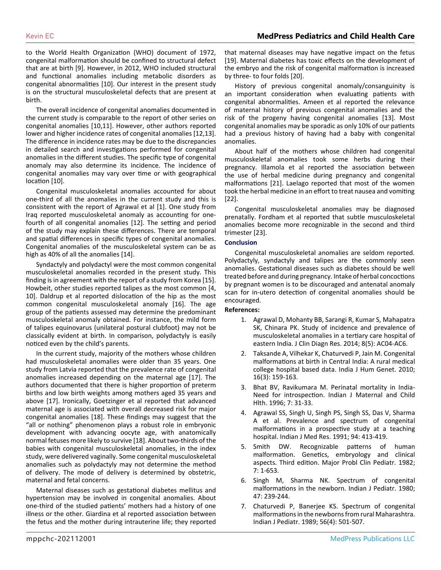to the World Health Organization (WHO) document of 1972, congenital malformation should be confined to structural defect that are at birth [9]. However, in 2012, WHO included structural and functional anomalies including metabolic disorders as congenital abnormalities [10]. Our interest in the present study is on the structural musculoskeletal defects that are present at birth.

The overall incidence of congenital anomalies documented in the current study is comparable to the report of other series on congenital anomalies [10,11]. However, other authors reported lower and higher incidence rates of congenital anomalies [12,13]. The difference in incidence rates may be due to the discrepancies in detailed search and investigations performed for congenital anomalies in the different studies. The specific type of congenital anomaly may also determine its incidence. The incidence of congenital anomalies may vary over time or with geographical location [10].

Congenital musculoskeletal anomalies accounted for about one-third of all the anomalies in the current study and this is consistent with the report of Agrawal et al [1]. One study from Iraq reported musculoskeletal anomaly as accounting for onefourth of all congenital anomalies [12]. The setting and period of the study may explain these differences. There are temporal and spatial differences in specific types of congenital anomalies. Congenital anomalies of the musculoskeletal system can be as high as 40% of all the anomalies [14].

Syndactyly and polydactyl were the most common congenital musculoskeletal anomalies recorded in the present study. This finding is in agreement with the report of a study from Korea [15]. Howbeit, other studies reported talipes as the most common [4, 10]. Daldrup et al reported dislocation of the hip as the most common congenital musculoskeletal anomaly [16]. The age group of the patients assessed may determine the predominant musculoskeletal anomaly obtained. For instance, the mild form of talipes equinovarus (unilateral postural clubfoot) may not be classically evident at birth. In comparison, polydactyly is easily noticed even by the child's parents.

In the current study, majority of the mothers whose children had musculoskeletal anomalies were older than 35 years. One study from Latvia reported that the prevalence rate of congenital anomalies increased depending on the maternal age [17]. The authors documented that there is higher proportion of preterm births and low birth weights among mothers aged 35 years and above [17]. Ironically, Goetzinger et al reported that advanced maternal age is associated with overall decreased risk for major congenital anomalies [18]. These findings may suggest that the "all or nothing" phenomenon plays a robust role in embryonic development with advancing oocyte age, with anatomically normal fetuses more likely to survive [18]. About two-thirds of the babies with congenital musculoskeletal anomalies, in the index study, were delivered vaginally. Some congenital musculoskeletal anomalies such as polydactyly may not determine the method of delivery. The mode of delivery is determined by obstetric, maternal and fetal concerns.

Maternal diseases such as gestational diabetes mellitus and hypertension may be involved in congenital anomalies. About one-third of the studied patients' mothers had a history of one illness or the other. Giardina et al reported association between the fetus and the mother during intrauterine life; they reported that maternal diseases may have negative impact on the fetus [19]. Maternal diabetes has toxic effects on the development of the embryo and the risk of congenital malformation is increased by three- to four folds [20].

History of previous congenital anomaly/consanguinity is an important consideration when evaluating patients with congenital abnormalities. Ameen et al reported the relevance of maternal history of previous congenital anomalies and the risk of the progeny having congenital anomalies [13]. Most congenital anomalies may be sporadic as only 10% of our patients had a previous history of having had a baby with congenital anomalies.

About half of the mothers whose children had congenital musculoskeletal anomalies took some herbs during their pregnancy. Illamola et al reported the association between the use of herbal medicine during pregnancy and congenital malformations [21]. Laelago reported that most of the women took the herbal medicine in an effort to treat nausea and vomiting [22].

Congenital musculoskeletal anomalies may be diagnosed prenatally. Fordham et al reported that subtle musculoskeletal anomalies become more recognizable in the second and third trimester [23].

#### **Conclusion**

Congenital musculoskeletal anomalies are seldom reported. Polydactyly, syndactyly and talipes are the commonly seen anomalies. Gestational diseases such as diabetes should be well treated before and during pregnancy. Intake of herbal concoctions by pregnant women is to be discouraged and antenatal anomaly scan for in-utero detection of congenital anomalies should be encouraged.

#### **References:**

- 1. [Agrawal D, Mohanty BB, Sarangi R, Kumar S, Mahapatra](https://www.ncbi.nlm.nih.gov/labs/pmc/articles/PMC4079988/) [SK, Chinara PK. Study of incidence and prevalence of](https://www.ncbi.nlm.nih.gov/labs/pmc/articles/PMC4079988/) [musculoskeletal anomalies in a tertiary care hospital of](https://www.ncbi.nlm.nih.gov/labs/pmc/articles/PMC4079988/) [eastern India. J Clin Diagn Res. 2014; 8\(5\): AC04-AC6.](https://www.ncbi.nlm.nih.gov/labs/pmc/articles/PMC4079988/)
- 2. [Taksande A, Vilhekar K, Chaturvedi P, Jain M. Congenital](https://pubmed.ncbi.nlm.nih.gov/21206705/) [malformations at birth in Central India: A rural medical](https://pubmed.ncbi.nlm.nih.gov/21206705/) [college hospital based data. India J Hum Genet. 2010;](https://pubmed.ncbi.nlm.nih.gov/21206705/) [16\(3\): 159-163.](https://pubmed.ncbi.nlm.nih.gov/21206705/)
- 3. Bhat BV, Ravikumara M. Perinatal mortality in India-Need for introspection. Indian J Maternal and Child Hlth. 1996; 7: 31-33.
- 4. [Agrawal SS, Singh U, Singh PS, Singh SS, Das V, Sharma](https://pubmed.ncbi.nlm.nih.gov/1774092/) [A et al. Prevalence and spectrum of congenital](https://pubmed.ncbi.nlm.nih.gov/1774092/) [malformations in a prospective study at a teaching](https://pubmed.ncbi.nlm.nih.gov/1774092/) [hospital. Indian J Med Res. 1991; 94: 413-419.](https://pubmed.ncbi.nlm.nih.gov/1774092/)
- 5. [Smith DW. Recognizable patterns of human](https://pubmed.ncbi.nlm.nih.gov/7070116/) [malformation. Genetics, embryology and clinical](https://pubmed.ncbi.nlm.nih.gov/7070116/) [aspects. Third edition. Major Probl Clin Pediatr. 1982;](https://pubmed.ncbi.nlm.nih.gov/7070116/) [7: 1-653.](https://pubmed.ncbi.nlm.nih.gov/7070116/)
- 6. [Singh M, Sharma NK. Spectrum of congenital](https://www.semanticscholar.org/paper/Spectrum-of-congenital-malformations-in-the-newborn-Singh-Sharma/dcb04192c6cc5b001d40acc18d3b1d96d28c5b59) [malformations in the newborn. Indian J Pediatr. 1980;](https://www.semanticscholar.org/paper/Spectrum-of-congenital-malformations-in-the-newborn-Singh-Sharma/dcb04192c6cc5b001d40acc18d3b1d96d28c5b59) [47: 239-244.](https://www.semanticscholar.org/paper/Spectrum-of-congenital-malformations-in-the-newborn-Singh-Sharma/dcb04192c6cc5b001d40acc18d3b1d96d28c5b59)
- 7. [Chaturvedi P, Banerjee KS. Spectrum of congenital](https://pubmed.ncbi.nlm.nih.gov/2633992/) [malformations in the newborns from rural Maharashtra.](https://pubmed.ncbi.nlm.nih.gov/2633992/) [Indian J Pediatr. 1989; 56\(4\): 501-507.](https://pubmed.ncbi.nlm.nih.gov/2633992/)